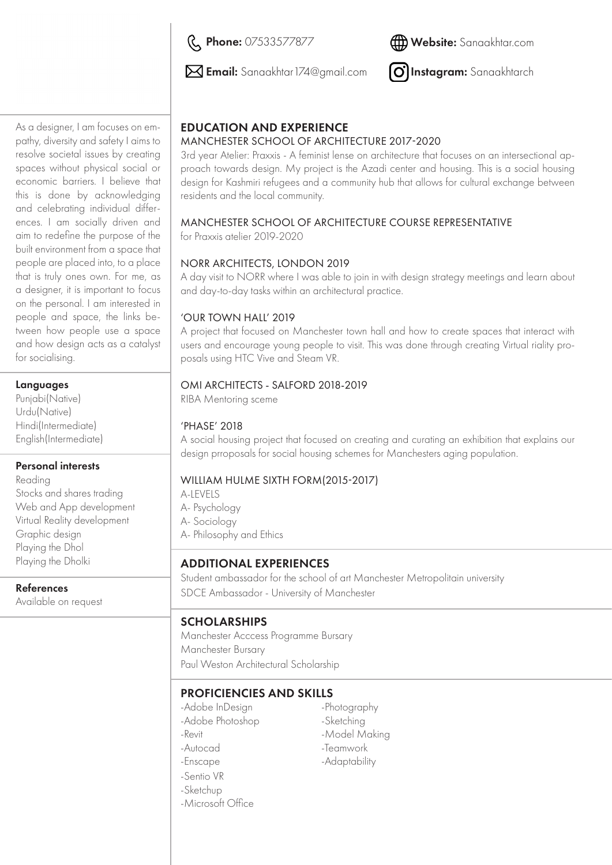R Phone: 07533577877



 $\boxtimes$  Email: Sanaakhtar 174@gmail.com

O] Instagram: Sanaakhtarch

As a designer, I am focuses on empathy, diversity and safety I aims to resolve societal issues by creating spaces without physical social or economic barriers. I believe that this is done by acknowledging and celebrating individual differences. I am socially driven and aim to redefine the purpose of the built environment from a space that people are placed into, to a place that is truly ones own. For me, as a designer, it is important to focus on the personal. I am interested in people and space, the links between how people use a space and how design acts as a catalyst for socialising.

### Languages

Punjabi(Native) Urdu(Native) Hindi(Intermediate) English(Intermediate)

#### Personal interests

Reading Stocks and shares trading Web and App development Virtual Reality development Graphic design Playing the Dhol Playing the Dholki

References

Available on request

# EDUCATION AND EXPERIENCE

### MANCHESTER SCHOOL OF ARCHITECTURE 2017-2020

3rd year Atelier: Praxxis - A feminist lense on architecture that focuses on an intersectional approach towards design. My project is the Azadi center and housing. This is a social housing design for Kashmiri refugees and a community hub that allows for cultural exchange between residents and the local community.

### MANCHESTER SCHOOL OF ARCHITECTURE COURSE REPRESENTATIVE

for Praxxis atelier 2019-2020

### NORR ARCHITECTS, LONDON 2019

A day visit to NORR where I was able to join in with design strategy meetings and learn about and day-to-day tasks within an architectural practice.

#### 'OUR TOWN HALL' 2019

A project that focused on Manchester town hall and how to create spaces that interact with users and encourage young people to visit. This was done through creating Virtual riality proposals using HTC Vive and Steam VR.

### OMI ARCHITECTS - SALFORD 2018-2019

RIBA Mentoring sceme

# 'PHASE' 2018

A social housing project that focused on creating and curating an exhibition that explains our design prroposals for social housing schemes for Manchesters aging population.

# WILLIAM HULME SIXTH FORM(2015-2017)

A-LEVELS A- Psychology A- Sociology A- Philosophy and Ethics

# ADDITIONAL EXPERIENCES

Student ambassador for the school of art Manchester Metropolitain university SDCE Ambassador - University of Manchester

# SCHOLARSHIPS

Manchester Acccess Programme Bursary Manchester Bursary Paul Weston Architectural Scholarship

# PROFICIENCIES AND SKILLS

-Adobe InDesign -Adobe Photoshop -Revit -Autocad -Enscape -Sentio VR -Sketchup -Microsoft Office

-Photography -Sketching -Model Making -Teamwork -Adaptability